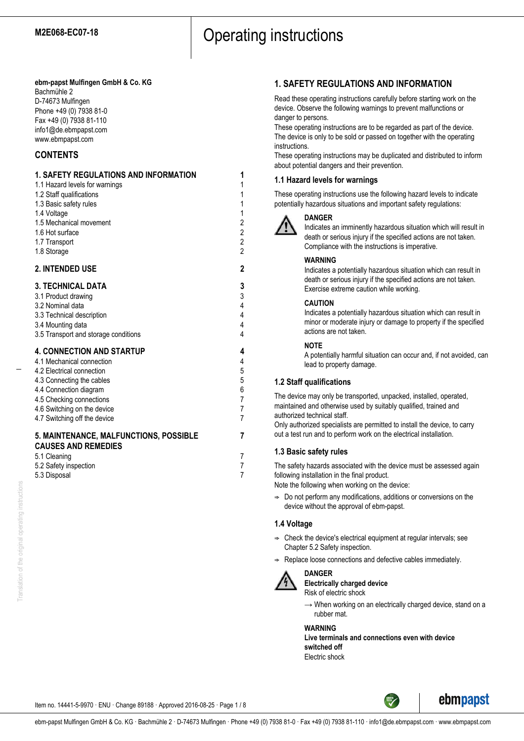# **ebm-papst Mulfingen GmbH & Co. KG**

Bachmühle 2 D-74673 Mulfingen Phone +49 (0) 7938 81-0 Fax +49 (0) 7938 81-110 info1@de.ebmpapst.com www.ebmpapst.com

# **CONTENTS**

| 1. SAFETY REGULATIONS AND INFORMATION<br>1.1 Hazard levels for warnings<br>1.2 Staff qualifications<br>1.3 Basic safety rules<br>1.4 Voltage<br>1.5 Mechanical movement<br>1.6 Hot surface<br>1.7 Transport<br>1.8 Storage                   | 1<br>1<br>1<br>$\mathbf{1}$<br>$\mathbf 1$<br>$\overline{\mathbf{c}}$<br>$\frac{2}{2}$<br>$\overline{2}$ |
|----------------------------------------------------------------------------------------------------------------------------------------------------------------------------------------------------------------------------------------------|----------------------------------------------------------------------------------------------------------|
| <b>2. INTENDED USE</b>                                                                                                                                                                                                                       | $\mathbf{2}$                                                                                             |
| <b>3. TECHNICAL DATA</b><br>3.1 Product drawing<br>3.2 Nominal data<br>3.3 Technical description<br>3.4 Mounting data<br>3.5 Transport and storage conditions                                                                                | 3<br>3<br>$\overline{\mathbf{r}}$<br>4<br>$\overline{4}$<br>4                                            |
| <b>4. CONNECTION AND STARTUP</b><br>4.1 Mechanical connection<br>4.2 Electrical connection<br>4.3 Connecting the cables<br>4.4 Connection diagram<br>4.5 Checking connections<br>4.6 Switching on the device<br>4.7 Switching off the device | 4<br>4<br>5<br>5<br>6<br>$\overline{7}$<br>7<br>$\overline{7}$                                           |
| 5. MAINTENANCE, MALFUNCTIONS, POSSIBLE<br><b>CAUSES AND REMEDIES</b><br>5.1 Cleaning                                                                                                                                                         | 7<br>7                                                                                                   |
| 5.2 Safety inspection                                                                                                                                                                                                                        | 7                                                                                                        |

5.3 Disposal 7

# **1. SAFETY REGULATIONS AND INFORMATION**

Read these operating instructions carefully before starting work on the device. Observe the following warnings to prevent malfunctions or danger to persons.

These operating instructions are to be regarded as part of the device. The device is only to be sold or passed on together with the operating instructions.

These operating instructions may be duplicated and distributed to inform about potential dangers and their prevention.

# **1.1 Hazard levels for warnings**

These operating instructions use the following hazard levels to indicate potentially hazardous situations and important safety regulations:



## **DANGER**

Indicates an imminently hazardous situation which will result in death or serious injury if the specified actions are not taken. Compliance with the instructions is imperative.

# **WARNING**

Indicates a potentially hazardous situation which can result in death or serious injury if the specified actions are not taken. Exercise extreme caution while working.

# **CAUTION**

Indicates a potentially hazardous situation which can result in minor or moderate injury or damage to property if the specified actions are not taken.

# **NOTE**

A potentially harmful situation can occur and, if not avoided, can lead to property damage.

# **1.2 Staff qualifications**

The device may only be transported, unpacked, installed, operated, maintained and otherwise used by suitably qualified, trained and authorized technical staff.

Only authorized specialists are permitted to install the device, to carry out a test run and to perform work on the electrical installation.

# **1.3 Basic safety rules**

The safety hazards associated with the device must be assessed again following installation in the final product.

Note the following when working on the device:

 $\Rightarrow$  Do not perform any modifications, additions or conversions on the device without the approval of ebm-papst.

# **1.4 Voltage**

- $\Rightarrow$  Check the device's electrical equipment at regular intervals; see Chapter 5.2 Safety inspection.
- Replace loose connections and defective cables immediately.



**DANGER Electrically charged device** Risk of electric shock

 $\rightarrow$  When working on an electrically charged device, stand on a rubber mat.

# **WARNING**

**Live terminals and connections even with device switched off** Electric shock



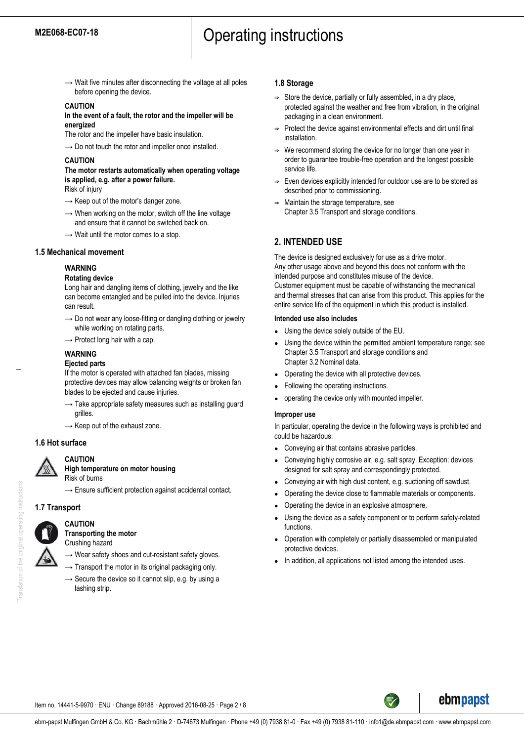$\rightarrow$  Wait five minutes after disconnecting the voltage at all poles before opening the device.

### **CAUTION**

**In the event of a fault, the rotor and the impeller will be energized**

The rotor and the impeller have basic insulation.

 $\rightarrow$  Do not touch the rotor and impeller once installed.

#### **CAUTION**

# **The motor restarts automatically when operating voltage is applied, e.g. after a power failure.**

Risk of injury

- $\rightarrow$  Keep out of the motor's danger zone.
- $\rightarrow$  When working on the motor, switch off the line voltage and ensure that it cannot be switched back on.
- $\rightarrow$  Wait until the motor comes to a stop.

#### **1.5 Mechanical movement**

### **WARNING**

#### **Rotating device**

Long hair and dangling items of clothing, jewelry and the like can become entangled and be pulled into the device. Injuries can result.

- $\rightarrow$  Do not wear any loose-fitting or dangling clothing or jewelry while working on rotating parts.
- $\rightarrow$  Protect long hair with a cap.

#### **WARNING**

#### **Ejected parts**

If the motor is operated with attached fan blades, missing protective devices may allow balancing weights or broken fan blades to be ejected and cause injuries.

- $\rightarrow$  Take appropriate safety measures such as installing guard grilles.
- $\rightarrow$  Keep out of the exhaust zone.

### **1.6 Hot surface**

# **CAUTION**

**High temperature on motor housing**

- Risk of burns
- $\rightarrow$  Ensure sufficient protection against accidental contact.

### **1.7 Transport**

### **CAUTION Transporting the motor**

Crushing hazard

 $\rightarrow$  Wear safety shoes and cut-resistant safety gloves.

- $\rightarrow$  Transport the motor in its original packaging only.
- $\rightarrow$  Secure the device so it cannot slip, e.g. by using a lashing strip.

#### **1.8 Storage**

- $\Rightarrow$  Store the device, partially or fully assembled, in a dry place, protected against the weather and free from vibration, in the original packaging in a clean environment.
- $\Rightarrow$  Protect the device against environmental effects and dirt until final installation.
- We recommend storing the device for no longer than one year in order to guarantee trouble-free operation and the longest possible service life.
- $\Rightarrow$  Even devices explicitly intended for outdoor use are to be stored as described prior to commissioning.
- Maintain the storage temperature, see Chapter 3.5 Transport and storage conditions.

# **2. INTENDED USE**

The device is designed exclusively for use as a drive motor. Any other usage above and beyond this does not conform with the intended purpose and constitutes misuse of the device. Customer equipment must be capable of withstanding the mechanical and thermal stresses that can arise from this product. This applies for the entire service life of the equipment in which this product is installed.

#### **Intended use also includes**

- Using the device solely outside of the EU.
- Using the device within the permitted ambient temperature range; see Chapter 3.5 Transport and storage conditions and Chapter 3.2 Nominal data.
- Operating the device with all protective devices.
- Following the operating instructions.
- operating the device only with mounted impeller.

#### **Improper use**

In particular, operating the device in the following ways is prohibited and could be hazardous:

- Conveying air that contains abrasive particles.
- Conveving highly corrosive air, e.g. salt spray. Exception: devices designed for salt spray and correspondingly protected.
- Conveying air with high dust content, e.g. suctioning off sawdust.
- Operating the device close to flammable materials or components.
- Operating the device in an explosive atmosphere.
- Using the device as a safety component or to perform safety-related functions.
- Operation with completely or partially disassembled or manipulated protective devices.
- In addition, all applications not listed among the intended uses.

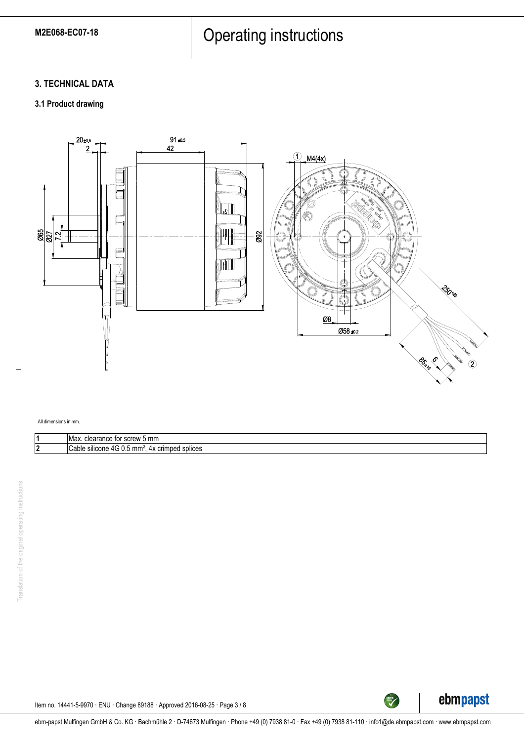# M2E068-EC07-18 **Operating instructions**

# **3. TECHNICAL DATA**

# **3.1 Product drawing**



#### All dimensions in mm.

| IMax.<br>mn<br>clearance<br>row<br>e for<br>$\sim$<br>,,,,,<br>י ש<br>JU.<br>. .          |
|-------------------------------------------------------------------------------------------|
| <br>splices<br>Cable<br>silicone<br>4x crimped<br>mm<br>$\sqrt{1}$<br>$\cdot$<br>u.u<br>ີ |



TECH<sup>TECH</sup>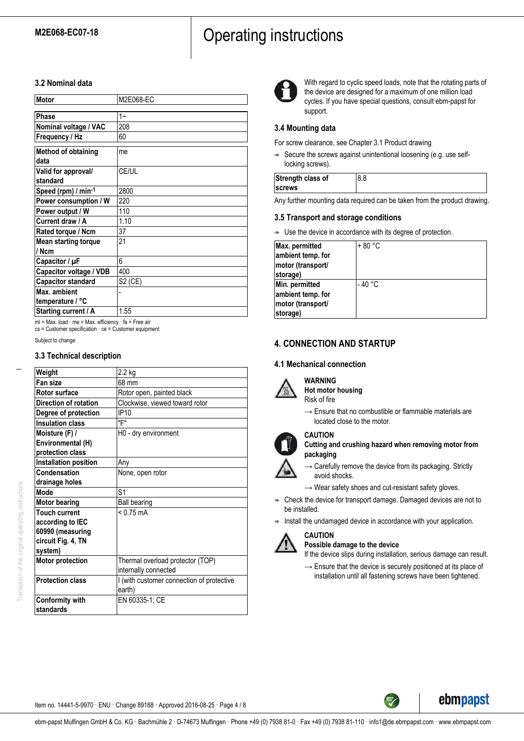# M2E068-EC07-18 **Operating instructions**

# **3.2 Nominal data**

| Motor                              | M2E068-EC |
|------------------------------------|-----------|
|                                    |           |
| Phase                              | $1 -$     |
| Nominal voltage / VAC              | 208       |
| Frequency / Hz                     | 60        |
| <b>Method of obtaining</b><br>data | me        |
| Valid for approval/<br>standard    | CE/UL     |
| Speed (rpm) / min-1                | 2800      |
| Power consumption / W              | 220       |
| Power output / W                   | 110       |
| Current draw / A                   | 1.10      |
| Rated torque / Ncm                 | 37        |
| <b>Mean starting torque</b>        | 21        |
| // Ncm                             |           |
| Capacitor / µF                     | 6         |
| Capacitor voltage / VDB            | 400       |
| <b>Capacitor standard</b>          | S2 (CE)   |
| Max. ambient                       |           |
| temperature / °C                   |           |
| Starting current / A               | 1.55      |

ml = Max. load · me = Max. efficiency · fa = Free air cs = Customer specification · ce = Customer equipment

Subject to change

## **3.3 Technical description**

| Weight                       | 2.2 kg                                    |  |
|------------------------------|-------------------------------------------|--|
| Fan size                     | 68 mm                                     |  |
| Rotor surface                | Rotor open, painted black                 |  |
| <b>Direction of rotation</b> | Clockwise, viewed toward rotor            |  |
| Degree of protection         | IP <sub>10</sub>                          |  |
| <b>Insulation class</b>      | "F"                                       |  |
| Moisture (F) /               | H0 - dry environment                      |  |
| Environmental (H)            |                                           |  |
| protection class             |                                           |  |
| Installation position        | Any                                       |  |
| Condensation                 | None, open rotor                          |  |
| drainage holes               |                                           |  |
| Mode                         | S <sub>1</sub>                            |  |
| <b>Motor bearing</b>         | <b>Ball bearing</b>                       |  |
| <b>Touch current</b>         | $< 0.75$ mA                               |  |
| according to IEC             |                                           |  |
| 60990 (measuring             |                                           |  |
| circuit Fig. 4, TN           |                                           |  |
| system)                      |                                           |  |
| <b>Motor protection</b>      | Thermal overload protector (TOP)          |  |
|                              | internally connected                      |  |
| <b>Protection class</b>      | I (with customer connection of protective |  |
|                              | earth)                                    |  |
| <b>Conformity with</b>       | EN 60335-1; CE                            |  |
| standards                    |                                           |  |



With regard to cyclic speed loads, note that the rotating parts of the device are designed for a maximum of one million load cycles. If you have special questions, consult ebm-papst for support.

# **3.4 Mounting data**

For screw clearance, see Chapter 3.1 Product drawing

 $\Rightarrow$  Secure the screws against unintentional loosening (e.g. use selflocking screws).

| Strength class of |  |
|-------------------|--|
| <b>Screws</b>     |  |

Any further mounting data required can be taken from the product drawing.

# **3.5 Transport and storage conditions**

 $\Rightarrow$  Use the device in accordance with its degree of protection.

| Max. permitted<br>ambient temp. for<br>motor (transport/<br>storage) | $+80 °C$ |
|----------------------------------------------------------------------|----------|
| Min. permitted<br>ambient temp. for<br>motor (transport/<br>storage) | - 40 °C  |

# **4. CONNECTION AND STARTUP**

# **4.1 Mechanical connection**



# **WARNING**

**Hot motor housing** Risk of fire

 $\rightarrow$  Ensure that no combustible or flammable materials are located close to the motor.

# **CAUTION**

- **Cutting and crushing hazard when removing motor from packaging**
- $\rightarrow$  Carefully remove the device from its packaging. Strictly avoid shocks.
- $\rightarrow$  Wear safety shoes and cut-resistant safety gloves.
- $\Rightarrow$  Check the device for transport damage. Damaged devices are not to be installed.
- $\Rightarrow$  Install the undamaged device in accordance with your application.



# **CAUTION**

**Possible damage to the device** If the device slips during installation, serious damage can result.

 $\rightarrow$  Ensure that the device is securely positioned at its place of installation until all fastening screws have been tightened.

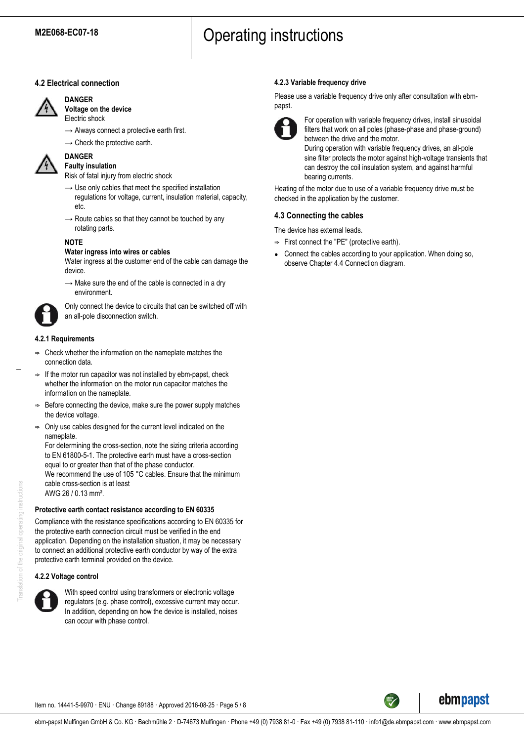# **4.2 Electrical connection**



**DANGER**

- **Voltage on the device** Electric shock
- $\rightarrow$  Always connect a protective earth first.
- $\rightarrow$  Check the protective earth.



#### **DANGER Faulty insulation**

Risk of fatal injury from electric shock

- $\rightarrow$  Use only cables that meet the specified installation regulations for voltage, current, insulation material, capacity, etc.
- $\rightarrow$  Route cables so that they cannot be touched by any rotating parts.

# **NOTE**

# **Water ingress into wires or cables**

Water ingress at the customer end of the cable can damage the device.

 $\rightarrow$  Make sure the end of the cable is connected in a dry environment.



Only connect the device to circuits that can be switched off with an all-pole disconnection switch.

# **4.2.1 Requirements**

- ; Check whether the information on the nameplate matches the connection data.
- $\Rightarrow$  If the motor run capacitor was not installed by ebm-papst, check whether the information on the motor run capacitor matches the information on the nameplate.
- Before connecting the device, make sure the power supply matches the device voltage.
- $\Rightarrow$  Only use cables designed for the current level indicated on the nameplate.

For determining the cross-section, note the sizing criteria according to EN 61800-5-1. The protective earth must have a cross-section equal to or greater than that of the phase conductor.

We recommend the use of 105 °C cables. Ensure that the minimum cable cross-section is at least AWG 26 / 0.13 mm².

# **Protective earth contact resistance according to EN 60335**

Compliance with the resistance specifications according to EN 60335 for the protective earth connection circuit must be verified in the end application. Depending on the installation situation, it may be necessary to connect an additional protective earth conductor by way of the extra protective earth terminal provided on the device.

# **4.2.2 Voltage control**



With speed control using transformers or electronic voltage regulators (e.g. phase control), excessive current may occur. In addition, depending on how the device is installed, noises can occur with phase control.

# **4.2.3 Variable frequency drive**

Please use a variable frequency drive only after consultation with ebmpapst.



For operation with variable frequency drives, install sinusoidal filters that work on all poles (phase-phase and phase-ground) between the drive and the motor.

During operation with variable frequency drives, an all-pole sine filter protects the motor against high-voltage transients that can destroy the coil insulation system, and against harmful bearing currents.

Heating of the motor due to use of a variable frequency drive must be checked in the application by the customer.

# **4.3 Connecting the cables**

The device has external leads.

- $\Rightarrow$  First connect the "PE" (protective earth).
- Connect the cables according to your application. When doing so, observe Chapter 4.4 Connection diagram.

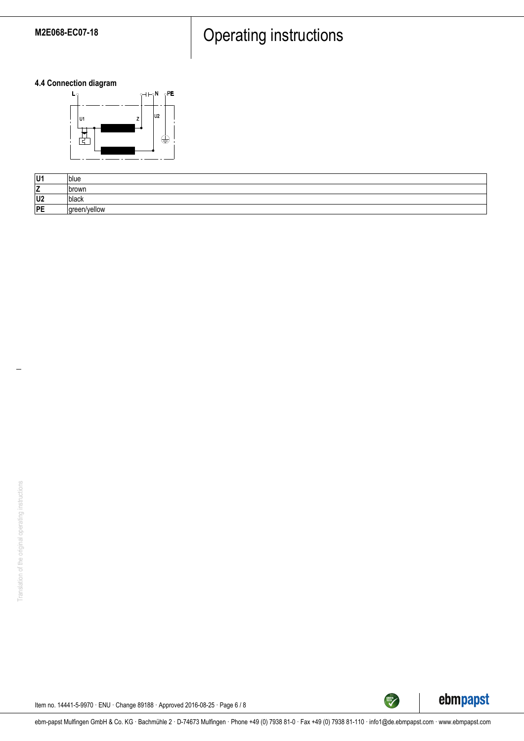# M2E068-EC07-18 **Operating instructions**

**4.4 Connection diagram**



| U1             | blue         |
|----------------|--------------|
| <u>.</u>       | Ibrown       |
| U <sub>2</sub> | black        |
| PE             | green/yellow |



TECH

Item no. 14441-5-9970 · ENU · Change 89188 · Approved 2016-08-25 · Page 6 / 8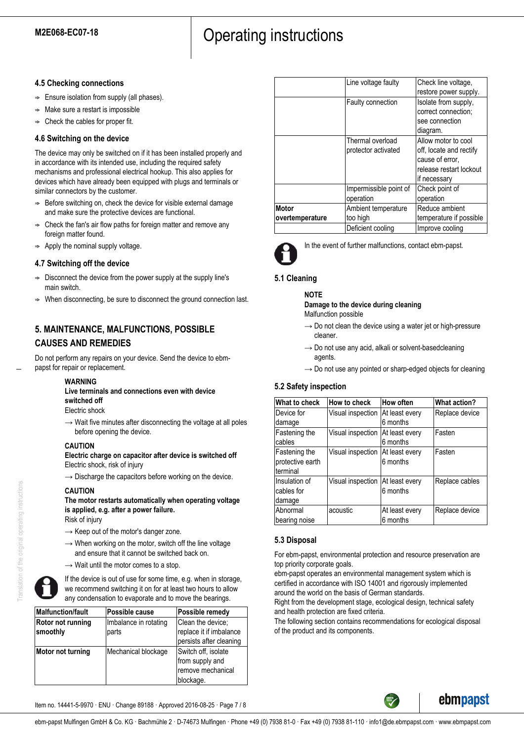# **4.5 Checking connections**

- $\Rightarrow$  Ensure isolation from supply (all phases).
- $\Rightarrow$  Make sure a restart is impossible
- Check the cables for proper fit.

# **4.6 Switching on the device**

The device may only be switched on if it has been installed properly and in accordance with its intended use, including the required safety mechanisms and professional electrical hookup. This also applies for devices which have already been equipped with plugs and terminals or similar connectors by the customer.

- $\Rightarrow$  Before switching on, check the device for visible external damage and make sure the protective devices are functional.
- ; Check the fan's air flow paths for foreign matter and remove any foreign matter found.
- Apply the nominal supply voltage.

# **4.7 Switching off the device**

- $\Rightarrow$  Disconnect the device from the power supply at the supply line's main switch.
- When disconnecting, be sure to disconnect the ground connection last.

# **5. MAINTENANCE, MALFUNCTIONS, POSSIBLE CAUSES AND REMEDIES**

Do not perform any repairs on your device. Send the device to ebmpapst for repair or replacement.

### **WARNING**

**Live terminals and connections even with device switched off**

Electric shock

 $\rightarrow$  Wait five minutes after disconnecting the voltage at all poles before opening the device.

### **CAUTION**

**Electric charge on capacitor after device is switched off** Electric shock, risk of injury

 $\rightarrow$  Discharge the capacitors before working on the device.

### **CAUTION**

**The motor restarts automatically when operating voltage is applied, e.g. after a power failure.** Risk of injury

- $\rightarrow$  Keep out of the motor's danger zone.
- $\rightarrow$  When working on the motor, switch off the line voltage and ensure that it cannot be switched back on.
- $\rightarrow$  Wait until the motor comes to a stop.



If the device is out of use for some time, e.g. when in storage, we recommend switching it on for at least two hours to allow any condensation to evaporate and to move the bearings.

| <b>Malfunction/fault</b>      | <b>Possible cause</b>          | Possible remedy                                                          |  |
|-------------------------------|--------------------------------|--------------------------------------------------------------------------|--|
| Rotor not running<br>smoothly | Imbalance in rotating<br>parts | Clean the device;<br>replace it if imbalance<br>persists after cleaning  |  |
| Motor not turning             | Mechanical blockage            | Switch off, isolate<br>from supply and<br>remove mechanical<br>blockage. |  |

|                 | Line voltage faulty    | Check line voltage,     |
|-----------------|------------------------|-------------------------|
|                 |                        | restore power supply.   |
|                 | Faulty connection      | Isolate from supply,    |
|                 |                        | correct connection;     |
|                 |                        | see connection          |
|                 |                        | diagram.                |
|                 | Thermal overload       | Allow motor to cool     |
|                 | protector activated    | off, locate and rectify |
|                 |                        | cause of error.         |
|                 |                        | release restart lockout |
|                 |                        | if necessary            |
|                 | Impermissible point of | Check point of          |
|                 | operation              | operation               |
| <b>Motor</b>    | Ambient temperature    | Reduce ambient          |
| overtemperature | too high               | temperature if possible |
|                 | Deficient cooling      | Improve cooling         |



In the event of further malfunctions, contact ebm-papst.

# **5.1 Cleaning**

**NOTE**

**Damage to the device during cleaning** Malfunction possible

- $\rightarrow$  Do not clean the device using a water jet or high-pressure cleaner.
- $\rightarrow$  Do not use any acid, alkali or solvent-basedcleaning agents.
- $\rightarrow$  Do not use any pointed or sharp-edged objects for cleaning

# **5.2 Safety inspection**

| What to check    | How to check                       | How often      | <b>What action?</b> |
|------------------|------------------------------------|----------------|---------------------|
| Device for       | Visual inspection                  | At least every | Replace device      |
| damage           |                                    | 6 months       |                     |
| Fastening the    | Visual inspection                  | At least every | Fasten              |
| cables           |                                    | 6 months       |                     |
| Fastening the    | Visual inspection                  | At least every | Fasten              |
| protective earth |                                    | 6 months       |                     |
| terminal         |                                    |                |                     |
| Insulation of    | Visual inspection   At least every |                | Replace cables      |
| cables for       |                                    | 6 months       |                     |
| damage           |                                    |                |                     |
| Abnormal         | acoustic                           | At least every | Replace device      |
| bearing noise    |                                    | 6 months       |                     |

# **5.3 Disposal**

For ebm-papst, environmental protection and resource preservation are top priority corporate goals.

ebm-papst operates an environmental management system which is certified in accordance with ISO 14001 and rigorously implemented around the world on the basis of German standards.

Right from the development stage, ecological design, technical safety and health protection are fixed criteria.

The following section contains recommendations for ecological disposal of the product and its components.



Item no. 14441-5-9970 · ENU · Change 89188 · Approved 2016-08-25 · Page 7 / 8